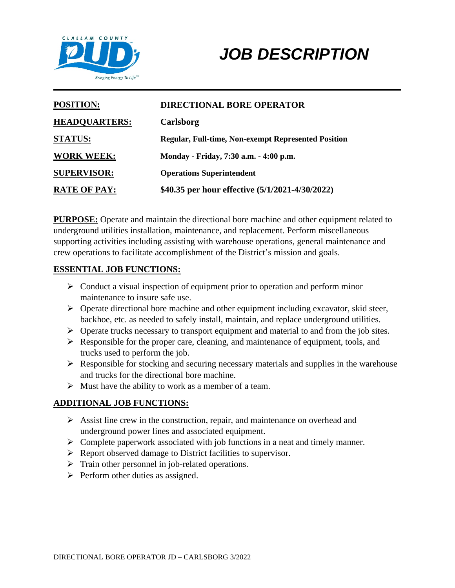

# *JOB DESCRIPTION*

| <b>POSITION:</b>     | <b>DIRECTIONAL BORE OPERATOR</b>                           |
|----------------------|------------------------------------------------------------|
| <b>HEADQUARTERS:</b> | Carlsborg                                                  |
| <b>STATUS:</b>       | <b>Regular, Full-time, Non-exempt Represented Position</b> |
| <b>WORK WEEK:</b>    | Monday - Friday, 7:30 a.m. - 4:00 p.m.                     |
| <b>SUPERVISOR:</b>   | <b>Operations Superintendent</b>                           |
| <b>RATE OF PAY:</b>  | \$40.35 per hour effective (5/1/2021-4/30/2022)            |

**PURPOSE:** Operate and maintain the directional bore machine and other equipment related to underground utilities installation, maintenance, and replacement. Perform miscellaneous supporting activities including assisting with warehouse operations, general maintenance and crew operations to facilitate accomplishment of the District's mission and goals.

#### **ESSENTIAL JOB FUNCTIONS:**

- $\triangleright$  Conduct a visual inspection of equipment prior to operation and perform minor maintenance to insure safe use.
- Operate directional bore machine and other equipment including excavator, skid steer, backhoe, etc. as needed to safely install, maintain, and replace underground utilities.
- $\triangleright$  Operate trucks necessary to transport equipment and material to and from the job sites.
- $\triangleright$  Responsible for the proper care, cleaning, and maintenance of equipment, tools, and trucks used to perform the job.
- $\triangleright$  Responsible for stocking and securing necessary materials and supplies in the warehouse and trucks for the directional bore machine.
- $\triangleright$  Must have the ability to work as a member of a team.

## **ADDITIONAL JOB FUNCTIONS:**

- $\triangleright$  Assist line crew in the construction, repair, and maintenance on overhead and underground power lines and associated equipment.
- $\triangleright$  Complete paperwork associated with job functions in a neat and timely manner.
- $\triangleright$  Report observed damage to District facilities to supervisor.
- $\triangleright$  Train other personnel in job-related operations.
- $\triangleright$  Perform other duties as assigned.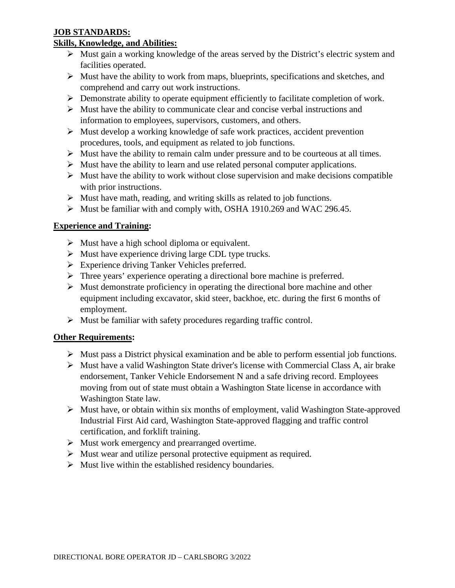## **JOB STANDARDS:**

## **Skills, Knowledge, and Abilities:**

- $\triangleright$  Must gain a working knowledge of the areas served by the District's electric system and facilities operated.
- $\triangleright$  Must have the ability to work from maps, blueprints, specifications and sketches, and comprehend and carry out work instructions.
- $\triangleright$  Demonstrate ability to operate equipment efficiently to facilitate completion of work.
- $\triangleright$  Must have the ability to communicate clear and concise verbal instructions and information to employees, supervisors, customers, and others.
- $\triangleright$  Must develop a working knowledge of safe work practices, accident prevention procedures, tools, and equipment as related to job functions.
- $\triangleright$  Must have the ability to remain calm under pressure and to be courteous at all times.
- $\triangleright$  Must have the ability to learn and use related personal computer applications.
- $\triangleright$  Must have the ability to work without close supervision and make decisions compatible with prior instructions.
- $\triangleright$  Must have math, reading, and writing skills as related to job functions.
- Must be familiar with and comply with, OSHA 1910.269 and WAC 296.45.

## **Experience and Training:**

- $\triangleright$  Must have a high school diploma or equivalent.
- $\triangleright$  Must have experience driving large CDL type trucks.
- Experience driving Tanker Vehicles preferred.
- Three years' experience operating a directional bore machine is preferred.
- $\triangleright$  Must demonstrate proficiency in operating the directional bore machine and other equipment including excavator, skid steer, backhoe, etc. during the first 6 months of employment.
- $\triangleright$  Must be familiar with safety procedures regarding traffic control.

## **Other Requirements:**

- $\triangleright$  Must pass a District physical examination and be able to perform essential job functions.
- $\triangleright$  Must have a valid Washington State driver's license with Commercial Class A, air brake endorsement, Tanker Vehicle Endorsement N and a safe driving record. Employees moving from out of state must obtain a Washington State license in accordance with Washington State law.
- $\triangleright$  Must have, or obtain within six months of employment, valid Washington State-approved Industrial First Aid card, Washington State-approved flagging and traffic control certification, and forklift training.
- $\triangleright$  Must work emergency and prearranged overtime.
- $\triangleright$  Must wear and utilize personal protective equipment as required.
- $\triangleright$  Must live within the established residency boundaries.